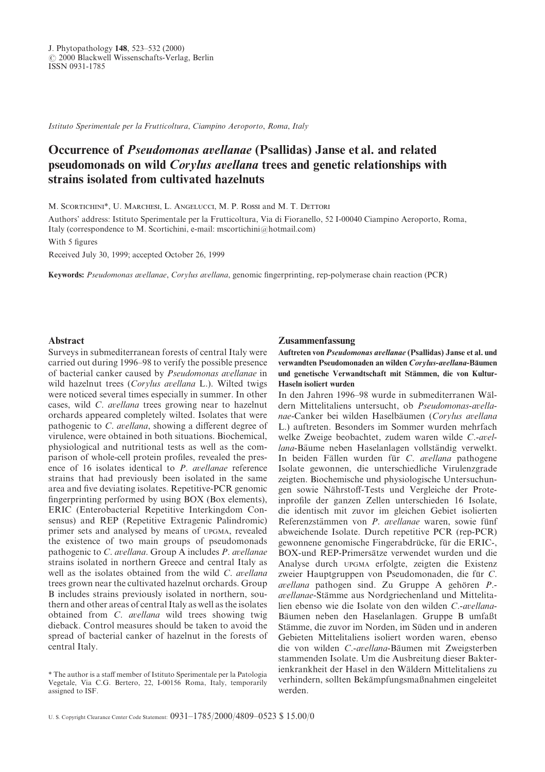Istituto Sperimentale per la Frutticoltura, Ciampino Aeroporto, Roma, Italy

# Occurrence of *Pseudomonas avellanae* (Psallidas) Janse et al. and related pseudomonads on wild Corylus avellana trees and genetic relationships with strains isolated from cultivated hazelnuts

M. SCORTICHINI\*, U. MARCHESI, L. ANGELUCCI, M. P. ROSSI and M. T. DETTORI

Authors' address: Istituto Sperimentale per la Frutticoltura, Via di Fioranello, 52 I-00040 Ciampino Aeroporto, Roma, Italy (correspondence to M. Scortichini, e-mail: mscortichini@hotmail.com) With 5 figures

Received July 30, 1999; accepted October 26, 1999

Keywords: Pseudomonas avellanae, Corylus avellana, genomic fingerprinting, rep-polymerase chain reaction (PCR)

# **Abstract**

Surveys in submediterranean forests of central Italy were carried out during 1996–98 to verify the possible presence of bacterial canker caused by Pseudomonas avellanae in wild hazelnut trees (Corylus avellana L.). Wilted twigs were noticed several times especially in summer. In other cases, wild C. avellana trees growing near to hazelnut orchards appeared completely wilted. Isolates that were pathogenic to  $C$ . avellana, showing a different degree of virulence, were obtained in both situations. Biochemical, physiological and nutritional tests as well as the comparison of whole-cell protein profiles, revealed the presence of 16 isolates identical to  $P$ . avellanae reference strains that had previously been isolated in the same area and five deviating isolates. Repetitive-PCR genomic fingerprinting performed by using  $BOX$  (Box elements), ERIC (Enterobacterial Repetitive Interkingdom Consensus) and REP (Repetitive Extragenic Palindromic) primer sets and analysed by means of UPGMA, revealed the existence of two main groups of pseudomonads pathogenic to  $C$ . avellana. Group A includes  $P$ . avellanae strains isolated in northern Greece and central Italy as well as the isolates obtained from the wild  $C$ . *avellana* trees grown near the cultivated hazelnut orchards. Group B includes strains previously isolated in northern, southern and other areas of central Italy as well as the isolates obtained from  $C$ . *avellana* wild trees showing twig dieback. Control measures should be taken to avoid the spread of bacterial canker of hazelnut in the forests of central Italy.

werden.

Zusammenfassung

Haseln isoliert wurden

L.) auftreten. Besonders im Sommer wurden mehrfach welke Zweige beobachtet, zudem waren wilde  $C$ -avellana-Bäume neben Haselanlagen vollständig verwelkt. In beiden Fällen wurden für C. avellana pathogene Isolate gewonnen\ die unterschiedliche Virulenzgrade zeigten. Biochemische und physiologische Untersuchungen sowie Nährstoff-Tests und Vergleiche der Proteinprofile der ganzen Zellen unterschieden 16 Isolate, die identisch mit zuvor im gleichen Gebiet isolierten Referenzstämmen von P. avellanae waren, sowie fünf abweichende Isolate. Durch repetitive PCR (rep-PCR) gewonnene genomische Fingerabdrücke, für die ERIC-, BOX-und REP-Primersätze verwendet wurden und die Analyse durch UPGMA erfolgte, zeigten die Existenz zweier Hauptgruppen von Pseudomonaden, die für  $C$ . avellana pathogen sind. Zu Gruppe A gehören  $P$ .avellanae-Stämme aus Nordgriechenland und Mittelitalien ebenso wie die Isolate von den wilden C.-avellana-Bäumen neben den Haselanlagen. Gruppe B umfaßt Stämme, die zuvor im Norden, im Süden und in anderen Gebieten Mittelitaliens isoliert worden waren, ebenso die von wilden C.-avellana-Bäumen mit Zweigsterben stammenden Isolate. Um die Ausbreitung dieser Bakterienkrankheit der Hasel in den Waldern Mittelitaliens zu verhindern, sollten Bekämpfungsmaßnahmen eingeleitet

Auftreten von Pseudomonas avellanae (Psallidas) Janse et al. und verwandten Pseudomonaden an wilden Corylus-avellana-Bäumen und genetische Verwandtschaft mit Stämmen, die von Kultur-

In den Jahren 1996–98 wurde in submediterranen Wäldern Mittelitaliens untersucht, ob Pseudomonas-avellanae-Canker bei wilden Haselbäumen (Corylus avellana

<sup>\*</sup> The author is a staff member of Istituto Sperimentale per la Patologia Vegetale, Via C.G. Bertero, 22, I-00156 Roma, Italy, temporarily assigned to ISF.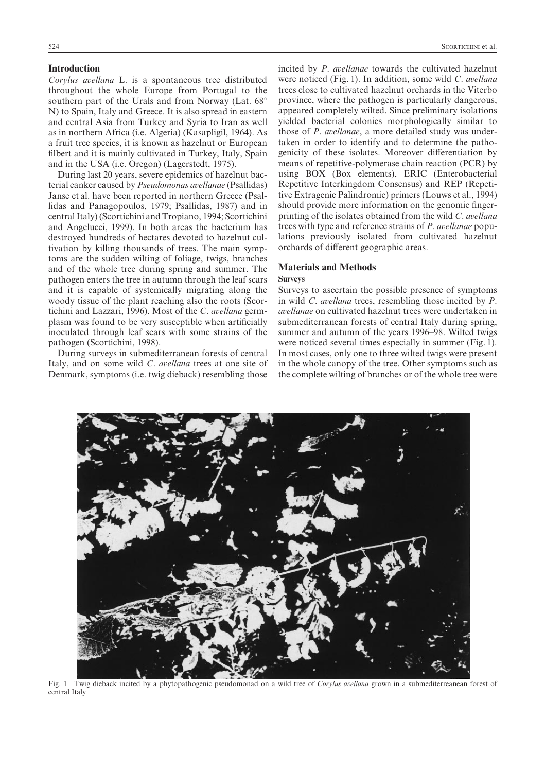#### Introduction

Corylus avellana L. is a spontaneous tree distributed throughout the whole Europe from Portugal to the southern part of the Urals and from Norway (Lat.  $68^\circ$ N) to Spain, Italy and Greece. It is also spread in eastern and central Asia from Turkey and Syria to Iran as well as in northern Africa (i.e. Algeria) (Kasapligil, 1964). As a fruit tree species, it is known as hazelnut or European filbert and it is mainly cultivated in Turkey, Italy, Spain and in the USA (i.e. Oregon) (Lagerstedt, 1975).

During last 20 years, severe epidemics of hazelnut bacterial canker caused by *Pseudomonas avellanae* (Psallidas) Janse et al. have been reported in northern Greece (Psallidas and Panagopoulos, 1979; Psallidas, 1987) and in central Italy) (Scortichini and Tropiano, 1994; Scortichini and Angelucci, 1999). In both areas the bacterium has destroyed hundreds of hectares devoted to hazelnut cultivation by killing thousands of trees. The main symptoms are the sudden wilting of foliage, twigs, branches and of the whole tree during spring and summer. The pathogen enters the tree in autumn through the leaf scars and it is capable of systemically migrating along the woody tissue of the plant reaching also the roots (Scortichini and Lazzari, 1996). Most of the  $C$ . avellana germplasm was found to be very susceptible when artificially inoculated through leaf scars with some strains of the pathogen (Scortichini, 1998).

During surveys in submediterranean forests of central Italy, and on some wild C. avellana trees at one site of Denmark, symptoms (i.e. twig dieback) resembling those

incited by  $P$ . avellanae towards the cultivated hazelnut were noticed (Fig. 1). In addition, some wild C. avellana trees close to cultivated hazelnut orchards in the Viterbo province, where the pathogen is particularly dangerous, appeared completely wilted. Since preliminary isolations yielded bacterial colonies morphologically similar to those of  $P$ . avellanae, a more detailed study was undertaken in order to identify and to determine the pathogenicity of these isolates. Moreover differentiation by means of repetitive-polymerase chain reaction (PCR) by using BOX (Box elements), ERIC (Enterobacterial Repetitive Interkingdom Consensus) and REP (Repetitive Extragenic Palindromic) primers (Louws et al., 1994) should provide more information on the genomic fingerprinting of the isolates obtained from the wild  $C$ . avellana trees with type and reference strains of  $P$ . avellanae populations previously isolated from cultivated hazelnut orchards of different geographic areas.

### Materials and Methods

#### Surveys

Surveys to ascertain the possible presence of symptoms in wild C. avellana trees, resembling those incited by  $P$ . avellanae on cultivated hazelnut trees were undertaken in submediterranean forests of central Italy during spring. summer and autumn of the years 1996–98. Wilted twigs were noticed several times especially in summer (Fig. 1). In most cases, only one to three wilted twigs were present in the whole canopy of the tree. Other symptoms such as the complete wilting of branches or of the whole tree were



Fig. 1 Twig dieback incited by a phytopathogenic pseudomonad on a wild tree of Corylus avellana grown in a submediterreanean forest of central Italy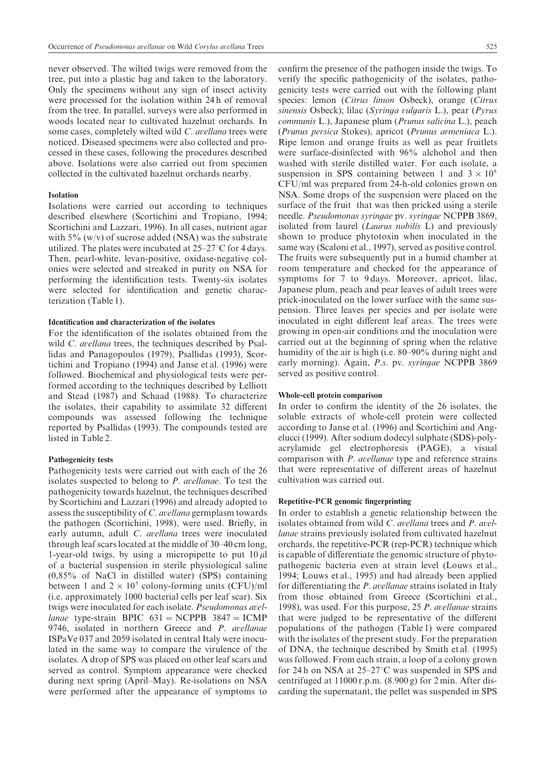never observed. The wilted twigs were removed from the tree, put into a plastic bag and taken to the laboratory. Only the specimens without any sign of insect activity were processed for the isolation within 24 h of removal from the tree. In parallel, surveys were also performed in woods located near to cultivated hazelnut orchards. In some cases, completely wilted wild  $C$ . avellana trees were noticed. Diseased specimens were also collected and processed in these cases\ following the procedures described above. Isolations were also carried out from specimen collected in the cultivated hazelnut orchards nearby.

# Isolation

Isolations were carried out according to techniques described elsewhere (Scortichini and Tropiano, 1994; Scortichini and Lazzari, 1996). In all cases, nutrient agar with  $5\%$  (w/v) of sucrose added (NSA) was the substrate utilized. The plates were incubated at  $25-27^{\circ}\text{C}$  for 4 days. Then, pearl-white, levan-positive, oxidase-negative colonies were selected and streaked in purity on NSA for performing the identification tests. Twenty-six isolates were selected for identification and genetic characterization Table 1).

#### Identification and characterization of the isolates

For the identification of the isolates obtained from the wild  $C$ . *avellana* trees, the techniques described by Psallidas and Panagopoulos (1979), Psallidas (1993), Scortichini and Tropiano  $(1994)$  and Janse et al.  $(1996)$  were followed. Biochemical and physiological tests were performed according to the techniques described by Lelliott and Stead (1987) and Schaad (1988). To characterize the isolates, their capability to assimilate 32 different compounds was assessed following the technique reported by Psallidas (1993). The compounds tested are listed in Table 2.

#### Pathogenicity tests

Pathogenicity tests were carried out with each of the 26 isolates suspected to belong to  $P$ . avellanae. To test the pathogenicity towards hazelnut, the techniques described by Scortichini and Lazzari (1996) and already adopted to assess the susceptibility of  $C$ . avellana germplasm towards the pathogen (Scortichini, 1998), were used. Briefly, in early autumn, adult  $C$ . *avellana* trees were inoculated through leaf scars located at the middle of 30–40 cm long, 1-year-old twigs, by using a micropipette to put  $10 \mu$ l of a bacterial suspension in sterile physiological saline  $(0.85\%$  of NaCl in distilled water) (SPS) containing between 1 and  $2 \times 10^5$  colony-forming units (CFU)/ml  $(i.e.$  approximately 1000 bacterial cells per leaf scar). Six twigs were inoculated for each isolate. *Pseudomonas avel*lanae type-strain BPIC  $631 = NCPPB$  3847 = ICMP 9746, isolated in northern Greece and  $P$ , avellange ISPaVe 037 and 2059 isolated in central Italy were inoculated in the same way to compare the virulence of the isolates. A drop of SPS was placed on other leaf scars and served as control. Symptom appearance were checked during next spring (April–May). Re-isolations on NSA were performed after the appearance of symptoms to confirm the presence of the pathogen inside the twigs. To verify the specific pathogenicity of the isolates, pathogenicity tests were carried out with the following plant species: lemon *(Citrus limon Osbeck)*, orange *(Citrus* sinensis Osbeck); lilac (Syringa vulgaris L.), pear (Pyrus communis L.), Japanese plum (Prunus salicina L.), peach (Prunus persica Stokes), apricot (Prunus armeniaca L.). Ripe lemon and orange fruits as well as pear fruitlets were surface-disinfected with 96% alchohol and then washed with sterile distilled water. For each isolate, a suspension in SPS containing between 1 and  $3 \times 10^8$ CFU/ml was prepared from 24-h-old colonies grown on NSA. Some drops of the suspension were placed on the surface of the fruit that was then pricked using a sterile needle. Pseudomonas syringae pv. syringae NCPPB 3869, isolated from laurel (Laurus nobilis L) and previously shown to produce phytotoxin when inoculated in the same way (Scaloni et al., 1997), served as positive control. The fruits were subsequently put in a humid chamber at room temperature and checked for the appearance of symptoms for  $7$  to 9 days. Moreover, apricot, lilac, Japanese plum\ peach and pear leaves of adult trees were prick-inoculated on the lower surface with the same suspension. Three leaves per species and per isolate were inoculated in eight different leaf areas. The trees were growing in open-air conditions and the inoculation were carried out at the beginning of spring when the relative humidity of the air is high (i.e. 80-90% during night and early morning). Again, P.s. pv. syringae NCPPB 3869 served as positive control.

#### Whole-cell protein comparison

In order to confirm the identity of the  $26$  isolates, the soluble extracts of whole-cell protein were collected according to Janse et al. (1996) and Scortichini and Angelucci (1999). After sodium dodecyl sulphate (SDS)-polyacrylamide gel electrophoresis (PAGE), a visual comparison with  $P$ . avellanae type and reference strains that were representative of different areas of hazelnut cultivation was carried out.

### Repetitive-PCR genomic fingerprinting

In order to establish a genetic relationship between the isolates obtained from wild  $C$ . avellana trees and  $P$ . avellanae strains previously isolated from cultivated hazelnut orchards, the repetitive-PCR ( $rep$ -PCR) technique which is capable of differentiate the genomic structure of phytopathogenic bacteria even at strain level (Louws et al., 1994; Louws et al., 1995) and had already been applied for differentiating the  $P$ . avellanae strains isolated in Italy from those obtained from Greece (Scortichini et al., 1998), was used. For this purpose, 25 P. avellanae strains that were judged to be representative of the different populations of the pathogen (Table 1) were compared with the isolates of the present study. For the preparation of DNA, the technique described by Smith et al. (1995) was followed. From each strain, a loop of a colony grown for 24 h on NSA at  $25-27$ °C was suspended in SPS and centrifuged at  $11000$  r.p.m.  $(8.900 \text{ g})$  for  $2 \text{ min}$ . After discarding the supernatant, the pellet was suspended in SPS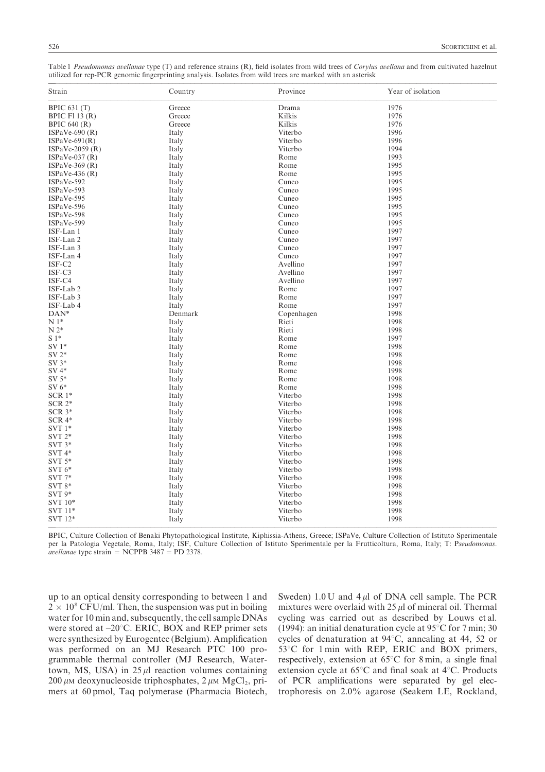| Table 1 <i>Pseudomonas avellanae</i> type (T) and reference strains (R), field isolates from wild trees of <i>Corylus avellana</i> and from cultivated hazelnut<br>utilized for rep-PCR genomic fingerprinting analysis. Isolates from wild trees are marked with an asterisk |         |          |                   |  |  |  |  |  |  |
|-------------------------------------------------------------------------------------------------------------------------------------------------------------------------------------------------------------------------------------------------------------------------------|---------|----------|-------------------|--|--|--|--|--|--|
| Strain                                                                                                                                                                                                                                                                        | Country | Province | Year of isolation |  |  |  |  |  |  |

|                      | count j |            |      |
|----------------------|---------|------------|------|
| <b>BPIC 631 (T)</b>  | Greece  | Drama      | 1976 |
| BPIC F113 $(R)$      | Greece  | Kilkis     | 1976 |
| <b>BPIC 640 (R)</b>  | Greece  | Kilkis     | 1976 |
| ISPaVe-690 $(R)$     | Italy   | Viterbo    | 1996 |
| $ISPaVe-691(R)$      | Italy   | Viterbo    | 1996 |
| ISPaVe-2059 $(R)$    | Italy   | Viterbo    | 1994 |
| $ISPaVe-037(R)$      | Italy   | Rome       | 1993 |
| ISPaVe-369 $(R)$     | Italy   | Rome       | 1995 |
| ISPaVe-436 $(R)$     | Italy   | Rome       | 1995 |
| ISPaVe-592           | Italy   | Cuneo      | 1995 |
| ISPaVe-593           | Italy   | Cuneo      | 1995 |
| ISPaVe-595           | Italy   | Cuneo      | 1995 |
| ISPaVe-596           | Italy   | Cuneo      | 1995 |
| ISPaVe-598           | Italy   | Cuneo      | 1995 |
| ISPaVe-599           | Italy   | Cuneo      | 1995 |
| ISF-Lan 1            | Italy   | Cuneo      | 1997 |
| ISF-Lan 2            | Italy   | Cuneo      | 1997 |
| ISF-Lan 3            | Italy   | Cuneo      | 1997 |
| ISF-Lan 4            | Italy   | Cuneo      | 1997 |
| ISF-C2               | Italy   | Avellino   | 1997 |
| ISF-C3               | Italy   | Avellino   | 1997 |
| ISF-C4               | Italy   | Avellino   | 1997 |
| ISF-Lab <sub>2</sub> | Italy   | Rome       | 1997 |
| ISF-Lab 3            | Italy   | Rome       | 1997 |
| ISF-Lab 4            | Italy   | Rome       | 1997 |
| DAN*                 | Denmark | Copenhagen | 1998 |
| $N1*$                | Italy   | Rieti      | 1998 |
| $N 2*$               | Italy   | Rieti      | 1998 |
| $S1*$                | Italy   | Rome       | 1997 |
| $SV1*$               | Italy   | Rome       | 1998 |
| $SV 2*$              | Italy   | Rome       | 1998 |
| $SV 3*$              | Italy   | Rome       | 1998 |
| $SV 4*$              | Italy   | Rome       | 1998 |
| $SV 5*$              | Italy   | Rome       | 1998 |
| $SV 6*$              | Italy   | Rome       | 1998 |
| $SCR1*$              | Italy   | Viterbo    | 1998 |
| $SCR 2*$             | Italy   | Viterbo    | 1998 |
| $SCR$ $3*$           | Italy   | Viterbo    | 1998 |
| $SCR 4*$             | Italy   | Viterbo    | 1998 |
| SVT $1*$             | Italy   | Viterbo    | 1998 |
| $SVT 2*$             | Italy   | Viterbo    | 1998 |
| $SVT 3*$             | Italy   | Viterbo    | 1998 |
| $SVT 4*$             | Italy   | Viterbo    | 1998 |
| SVT $5*$             | Italy   | Viterbo    | 1998 |
| SVT $6*$             | Italy   | Viterbo    | 1998 |
| $SVT 7*$             | Italy   | Viterbo    | 1998 |
| $SVT$ $8*$           | Italy   | Viterbo    | 1998 |
| $SVT 9*$             | Italy   | Viterbo    | 1998 |
| SVT 10*              | Italy   | Viterbo    | 1998 |
| SVT 11*              | Italy   | Viterbo    | 1998 |
| SVT 12*              | Italy   | Viterbo    | 1998 |
|                      |         |            |      |
|                      |         |            |      |

BPIC, Culture Collection of Benaki Phytopathological Institute, Kiphissia-Athens, Greece; ISPaVe, Culture Collection of Istituto Sperimentale per la Patologia Vegetale, Roma, Italy; ISF, Culture Collection of Istituto Sperimentale per la Frutticoltura, Roma, Italy; T: Pseudomonas. avellanae type strain = NCPPB 3487 = PD 2378.

up to an optical density corresponding to between 1 and  $2 \times 10^8$  CFU/ml. Then, the suspension was put in boiling water for 10 min and, subsequently, the cell sample DNAs were stored at  $-20^{\circ}$ C. ERIC, BOX and REP primer sets were synthesized by Eurogentec (Belgium). Amplification was performed on an MJ Research PTC 100 programmable thermal controller (MJ Research, Watertown, MS, USA) in  $25 \mu l$  reaction volumes containing 200 μm deoxynucleoside triphosphates,  $2 \mu$ M MgCl<sub>2</sub>, primers at 60 pmol, Taq polymerase (Pharmacia Biotech, Sweden)  $1.0$  U and  $4 \mu$ l of DNA cell sample. The PCR mixtures were overlaid with  $25 \mu$  of mineral oil. Thermal cycling was carried out as described by Louws et al. (1994): an initial denaturation cycle at  $95^{\circ}$ C for 7 min; 30 cycles of denaturation at  $94^{\circ}$ C, annealing at 44, 52 or  $53^{\circ}$ C for 1 min with REP, ERIC and BOX primers, respectively, extension at  $65^{\circ}$ C for 8 min, a single final extension cycle at  $65^{\circ}$ C and final soak at  $4^{\circ}$ C. Products of PCR amplifications were separated by gel electrophoresis on  $2.0\%$  agarose (Seakem LE, Rockland,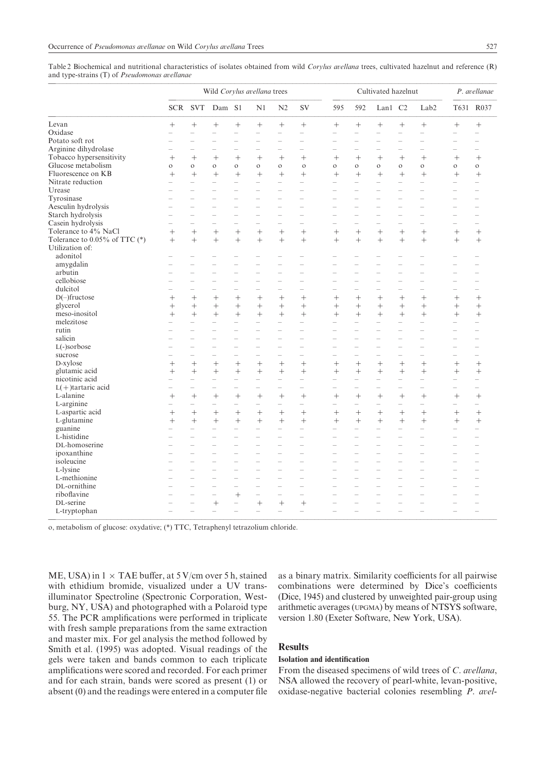Table 2 Biochemical and nutritional characteristics of isolates obtained from wild Corylus avellana trees, cultivated hazelnut and reference (R) and type-strains  $(T)$  of Pseudomonas avellanae

|                                    |                                    | Wild Corylus avellana trees |                          |                          |                          |                          |                          | Cultivated hazelnut      |                          |                                    |                          |                          | P. avellanae             |                          |
|------------------------------------|------------------------------------|-----------------------------|--------------------------|--------------------------|--------------------------|--------------------------|--------------------------|--------------------------|--------------------------|------------------------------------|--------------------------|--------------------------|--------------------------|--------------------------|
|                                    | <b>SCR</b>                         | <b>SVT</b>                  | Dam S1                   |                          | N1                       | N2                       | SV                       | 595                      | 592                      | Lan1                               | C <sub>2</sub>           | Lab <sub>2</sub>         | T631                     | R037                     |
| Levan                              | $^{+}$                             |                             | $^{+}$                   | $+$                      | $+$                      | $^{+}$                   | $^{+}$                   |                          |                          | $^{+}$                             | $+$                      | $^{+}$                   | $+$                      | $^{+}$                   |
| Oxidase                            | $\overline{\phantom{0}}$           | $\overline{\phantom{a}}$    | $\overline{\phantom{0}}$ | $\overline{\phantom{a}}$ | $\equiv$                 | Ľ.                       | ÷                        | L.                       | ÷                        | $\equiv$                           | Ľ.                       | $\overline{\phantom{0}}$ | $\equiv$                 | $\equiv$                 |
| Potato soft rot                    |                                    |                             |                          |                          |                          |                          | $\overline{\phantom{0}}$ |                          |                          |                                    |                          | $\overline{ }$           |                          |                          |
| Arginine dihydrolase               |                                    | $\overline{\phantom{a}}$    | $\overline{\phantom{0}}$ |                          | L.                       | $\overline{\phantom{a}}$ | $\equiv$                 | $\overline{\phantom{0}}$ | $\overline{\phantom{0}}$ | $\equiv$                           | L.                       | $\equiv$                 | -                        | $\overline{\phantom{a}}$ |
| Tobacco hypersensitivity           | $^{+}$                             | $+$                         | $^{+}$                   | $+$                      | $^{+}$                   | $+$                      | $^{+}$                   | $^{+}$                   | $^{+}$                   | $^{+}$                             | $^{+}$                   | $^{+}$                   | $^{+}$                   | $^{+}$                   |
| Glucose metabolism                 | $\circ$                            | $\circ$                     | $\circ$                  | $\circ$                  | $\circ$                  | $\circ$                  | $\circ$                  | $\circ$                  | $\circ$                  | $\circ$                            | $\circ$                  | $\circ$                  | $\circ$                  | $\circ$                  |
| Fluorescence on KB                 | $^{+}$                             | $+$                         | $+$                      | $^{+}$                   | $+$                      | $^{+}$                   | $^{+}$                   | $^{+}$                   | $+$                      | $\ddot{}$                          | $+$                      | $\ddag$                  | $^{+}$                   | $^{+}$                   |
| Nitrate reduction                  | $\overline{a}$                     | $\overline{\phantom{0}}$    | $\equiv$                 |                          | L,                       | Ľ.                       | -                        | $-$                      |                          | $\overline{\phantom{0}}$           | $\overline{\phantom{0}}$ | $\overline{\phantom{0}}$ | $\overline{\phantom{0}}$ |                          |
| Urease                             | $\equiv$                           | $\overline{\phantom{a}}$    | $\overline{\phantom{0}}$ | $\overline{\phantom{a}}$ | $\equiv$                 | L.                       | $\equiv$                 | L.                       | $\equiv$                 | $\equiv$                           | L.                       | $\equiv$                 | $\equiv$                 | $\sim$                   |
| Tyrosinase                         |                                    |                             |                          |                          |                          |                          |                          | ÷                        |                          |                                    |                          | ÷                        | -                        |                          |
| Aesculin hydrolysis                | $\overline{\phantom{0}}$           | ÷                           | L.                       | $\overline{\phantom{a}}$ | L.                       | $\overline{\phantom{0}}$ | $\overline{\phantom{a}}$ | ÷                        | $\equiv$                 | ÷                                  | $\overline{\phantom{0}}$ | $\equiv$                 | 1                        | $\overline{\phantom{a}}$ |
| Starch hydrolysis                  | $\overline{\phantom{0}}$           | L.                          | $\overline{\phantom{0}}$ | L.                       | $\equiv$                 | L                        | $\equiv$                 | Ľ.                       | $\equiv$                 | $\equiv$                           | L.                       | $\equiv$                 | $\overline{\phantom{0}}$ | $\overline{\phantom{a}}$ |
| Casein hydrolysis                  | -                                  | $\equiv$                    | $\overline{\phantom{a}}$ |                          | $\overline{\phantom{0}}$ | L.                       | $\equiv$                 | $\overline{\phantom{0}}$ | ÷                        | $\equiv$                           |                          | $\equiv$                 | $\equiv$                 |                          |
| Tolerance to 4% NaCl               | $^{+}$                             | $+$                         | $^{+}$                   | $+$                      | $+$                      | $^{+}$                   | $+$                      | $^{+}$                   | $+$                      | $\ddot{}$                          | $^{+}$                   | $^{+}$                   | $^{+}$                   | $^{+}$                   |
| Tolerance to $0.05\%$ of TTC $(*)$ | $+$                                | $+$                         | $^{+}$                   | $+$                      | $+$                      | $+$                      | $^{+}$                   | $+$                      | $+$                      | $+$                                | $+$                      | $+$                      | $+$                      | $^{+}$                   |
| Utilization of:                    |                                    |                             |                          |                          |                          |                          |                          |                          |                          |                                    |                          |                          |                          |                          |
| adonitol                           |                                    |                             |                          |                          |                          |                          |                          |                          |                          |                                    |                          |                          |                          |                          |
| amygdalin                          |                                    | L.                          |                          |                          |                          |                          | $\equiv$                 |                          |                          |                                    |                          | $\equiv$                 | L.                       |                          |
| arbutin                            |                                    | 1                           |                          |                          | $\overline{\phantom{0}}$ | $\overline{\phantom{0}}$ | $\overline{\phantom{0}}$ | $\overline{\phantom{0}}$ | $\overline{\phantom{0}}$ | $\overline{\phantom{0}}$           |                          | $\overline{\phantom{0}}$ | ÷                        |                          |
| cellobiose                         |                                    |                             |                          |                          |                          |                          |                          |                          |                          | L.                                 |                          | $\overline{\phantom{0}}$ | L.                       |                          |
| dulcitol                           |                                    | 1                           | $\overline{\phantom{0}}$ | ÷                        | $\overline{\phantom{0}}$ | ÷                        | ÷                        | ÷                        | ÷                        | -                                  | L                        | $\equiv$                 | $\overline{\phantom{0}}$ | $\overline{\phantom{0}}$ |
| $D(-)$ fructose                    | $^{+}$                             | $^{+}$                      | $^{+}$                   | $^{+}$                   | $^{+}$                   | $^{+}$                   | $^{+}$                   | $^{+}$                   | $^{+}$                   | $^{+}$                             | $^{+}$                   | $^{+}$                   | $^{+}$                   | $^{+}$                   |
| glycerol                           | $+$                                | $+$                         | $\ddot{}$                | $^{+}$                   | $+$                      | $+$                      | $+$                      | $^{+}$                   | $+$                      | $+$                                | $^{+}$                   | $\ddag$                  | $^{+}$                   | $^{+}$                   |
| meso-inositol                      | $^{+}$                             |                             | $^{+}$                   |                          | $+$                      | $+$                      |                          | $+$                      |                          | $^{+}$                             | $^{+}$                   |                          | $+$                      |                          |
| melezitose                         | $\equiv$                           | $^{+}$                      |                          | $^{+}$                   |                          | $\overline{\phantom{a}}$ | $^{+}$<br>$\equiv$       | $\overline{\phantom{0}}$ | $^{+}$                   |                                    |                          | $^{+}$<br>$\equiv$       | $\equiv$                 | $^{+}$                   |
| rutin                              | $\overline{ }$                     | $\equiv$                    | $\overline{\phantom{0}}$ | L.                       | $\equiv$                 | $\overline{\phantom{0}}$ | $\equiv$                 | $\equiv$                 | $\overline{\phantom{0}}$ | $\equiv$                           | -                        | $\equiv$                 | $\equiv$                 | $\equiv$                 |
| salicin                            |                                    | $\equiv$                    | $\overline{\phantom{0}}$ |                          | $\overline{\phantom{0}}$ | $\overline{\phantom{a}}$ | $\equiv$                 | $\overline{\phantom{0}}$ | $\equiv$                 | $\equiv$                           | $\overline{\phantom{a}}$ | $\equiv$                 | $\equiv$                 | $\sim$                   |
| L(-)sorbose                        |                                    | $\overline{\phantom{0}}$    |                          |                          | $\overline{\phantom{0}}$ | L.                       | $\overline{\phantom{0}}$ | $\overline{\phantom{0}}$ |                          | $\overline{\phantom{0}}$           |                          | $\overline{\phantom{0}}$ | $\overline{\phantom{0}}$ | $\overline{\phantom{0}}$ |
| sucrose                            |                                    | $\overline{\phantom{0}}$    |                          |                          |                          | L.                       | Ľ.                       | ÷                        |                          | L.                                 |                          | ÷                        | $\overline{\phantom{0}}$ |                          |
| D-xylose                           |                                    |                             |                          | $^{+}$                   | $+$                      | $^{+}$                   | $^{+}$                   |                          |                          |                                    |                          | $\ddag$                  |                          |                          |
|                                    | $^{+}$                             | $+$                         | $^{+}$                   |                          |                          |                          |                          | $^{+}$                   | $^{+}$                   | $^{+}$                             | $^{+}$                   |                          | $^{+}$                   | $^{+}$                   |
| glutamic acid<br>nicotinic acid    | $^{+}$<br>$\overline{\phantom{0}}$ | $^{+}$<br>$\equiv$          | $\ddot{}$<br>$=$         | $+$<br>$\equiv$          | $+$<br>$\equiv$          | $^{+}$<br>L.             | $^{+}$<br>$\equiv$       | $^{+}$<br>$=$            | $^{+}$<br>$\equiv$       | $^{+}$<br>$\overline{\phantom{0}}$ | $^{+}$<br>$\equiv$       | $^{+}$<br>$\equiv$       | $\overline{\phantom{0}}$ | $^{+}$<br>$\equiv$       |
|                                    |                                    |                             |                          |                          |                          |                          |                          |                          |                          |                                    |                          |                          |                          |                          |
| $L(+)$ tartaric acid               |                                    |                             |                          |                          |                          | L,                       |                          |                          |                          |                                    |                          |                          | $\overline{\phantom{0}}$ |                          |
| L-alanine                          | $\ddot{}$<br>$\overline{ }$        | $+$<br>L.                   | $\ddot{}$<br>L.          | $+$                      | $^{+}$<br>L.             | $^{+}$<br>$\overline{a}$ | $\ddot{}$                | $^{+}$<br>L.             | $^{+}$                   | $\ddag$<br>$\equiv$                | $^{+}$<br>$\overline{ }$ | $^{+}$<br>$\equiv$       | $^{+}$                   | $^{+}$                   |
| L-arginine                         |                                    |                             |                          | L.                       |                          |                          | $=$                      |                          |                          |                                    |                          |                          | $\equiv$                 | $\overline{\phantom{0}}$ |
| L-aspartic acid                    | $^{+}$                             |                             | $^{+}$                   | $^{+}$                   | $^{+}$                   | $^{+}$                   | $^{+}$                   | $^{+}$                   | $^{+}$                   | $^{+}$                             | $^{+}$                   | $^{+}$                   | $^{+}$                   | $^{+}$                   |
| L-glutamine                        | $+$                                | $+$                         | $^{+}$                   | $+$                      | $+$                      | $+$                      | $+$                      | $+$                      | $+$                      | $^{+}$                             | $+$                      | $^{+}$                   | $+$                      | $+$                      |
| guanine                            |                                    |                             |                          |                          |                          |                          |                          |                          |                          |                                    |                          |                          |                          |                          |
| L-histidine                        | $\equiv$                           | $\overline{\phantom{0}}$    | $\equiv$                 | $\equiv$                 | $\equiv$                 | L.                       | $\overline{\phantom{0}}$ | $=$                      | $\equiv$                 | $\overline{\phantom{0}}$           | $\sim$                   | $\overline{\phantom{0}}$ | $\equiv$                 | $\equiv$                 |
| DL-homoserine                      |                                    |                             |                          |                          |                          |                          |                          |                          |                          |                                    |                          |                          |                          |                          |
| ipoxanthine                        |                                    | L.                          |                          |                          |                          | L                        | $\equiv$                 | L.                       | L.                       |                                    |                          | $\equiv$                 | L.                       | $\equiv$                 |
| isoleucine                         |                                    | ÷                           | $\overline{\phantom{0}}$ | $\overline{\phantom{0}}$ | $\equiv$                 | $\overline{\phantom{0}}$ | $\equiv$                 | ÷                        | $\overline{\phantom{0}}$ | $\overline{\phantom{0}}$           | $\overline{\phantom{0}}$ | ÷                        | 1                        | $\overline{\phantom{m}}$ |
| L-lysine                           |                                    | L.                          | $\overline{\phantom{0}}$ |                          |                          |                          | L.                       | $\overline{a}$           |                          |                                    |                          | $\overline{\phantom{a}}$ |                          | $\overline{\phantom{a}}$ |
| L-methionine                       |                                    | 1                           | $\overline{\phantom{0}}$ | $\overline{\phantom{0}}$ | $\overline{\phantom{0}}$ | ÷                        | -                        | $\overline{\phantom{0}}$ | $\overline{\phantom{0}}$ | $\equiv$                           | L.                       | $\overline{\phantom{0}}$ | ÷                        | $\overline{\phantom{0}}$ |
| DL-ornithine                       |                                    |                             |                          |                          |                          |                          |                          |                          |                          |                                    |                          |                          |                          |                          |
| riboflavine                        |                                    | L.                          | $=$                      | $+$                      | L.                       | Ľ.                       | L.                       | $\overline{\phantom{a}}$ | $\overline{\phantom{0}}$ |                                    |                          | ÷                        | $\overline{\phantom{0}}$ | $\equiv$                 |
| DL-serine                          |                                    |                             | $^{+}$                   | $\overline{\phantom{0}}$ | $^{+}$                   | $^{+}$                   |                          |                          |                          |                                    |                          |                          |                          |                          |
| L-tryptophan                       |                                    | $\overline{\phantom{0}}$    | $\overline{\phantom{0}}$ |                          | $\equiv$                 | $\overline{\phantom{a}}$ | $\overline{\phantom{a}}$ |                          |                          |                                    |                          |                          |                          | $\equiv$                 |

o, metabolism of glucose: oxydative; (\*) TTC, Tetraphenyl tetrazolium chloride.

ME, USA) in  $1 \times$  TAE buffer, at 5 V/cm over 5 h, stained with ethidium bromide, visualized under a UV transilluminator Spectroline (Spectronic Corporation, Westburg, NY, USA) and photographed with a Polaroid type 55. The PCR amplifications were performed in triplicate with fresh sample preparations from the same extraction and master mix. For gel analysis the method followed by Smith et al. (1995) was adopted. Visual readings of the gels were taken and bands common to each triplicate amplifications were scored and recorded. For each primer and for each strain, bands were scored as present  $(1)$  or absent  $(0)$  and the readings were entered in a computer file as a binary matrix. Similarity coefficients for all pairwise combinations were determined by Dice's coefficients (Dice, 1945) and clustered by unweighted pair-group using arithmetic averages (UPGMA) by means of NTSYS software, version 1.80 (Exeter Software, New York, USA).

# **Results**

# Isolation and identification

From the diseased specimens of wild trees of  $C$ . avellana, NSA allowed the recovery of pearl-white, levan-positive, oxidase-negative bacterial colonies resembling  $P$ . avel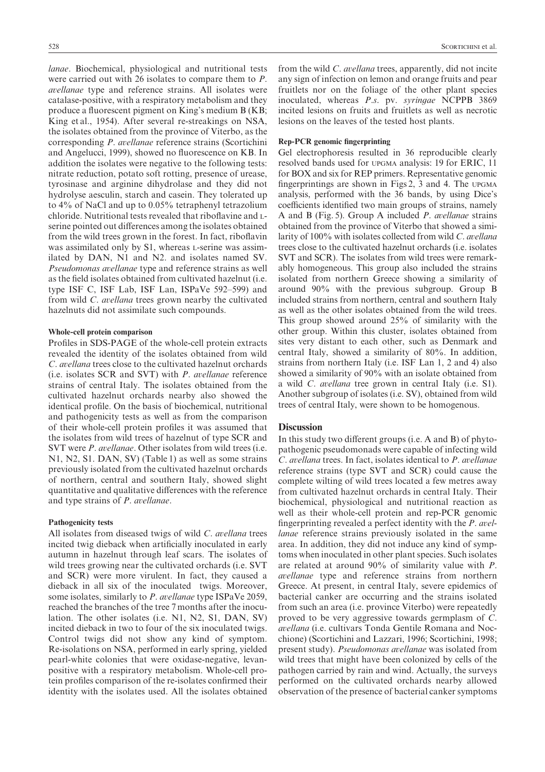lanae. Biochemical, physiological and nutritional tests were carried out with 26 isolates to compare them to  $P$ . avellanae type and reference strains. All isolates were catalase-positive, with a respiratory metabolism and they produce a fluorescent pigment on King's medium  $B(KB)$ ; King et al., 1954). After several re-streakings on NSA, the isolates obtained from the province of Viterbo\ as the corresponding P. avellanae reference strains (Scortichini and Angelucci, 1999), showed no fluorescence on KB. In addition the isolates were negative to the following tests: nitrate reduction, potato soft rotting, presence of urease, tyrosinase and arginine dihydrolase and they did not hydrolyse aesculin, starch and casein. They tolerated up to  $4\%$  of NaCl and up to 0.05% tetraphenyl tetrazolium chloride. Nutritional tests revealed that riboflavine and Lserine pointed out differences among the isolates obtained from the wild trees grown in the forest. In fact, riboflavin was assimilated only by S1, whereas L-serine was assimilated by DAN, N1 and N2. and isolates named SV. Pseudomonas avellanae type and reference strains as well as the field isolates obtained from cultivated hazelnut (i.e. type ISF C, ISF Lab, ISF Lan, ISPaVe  $592-599$  and from wild *C. avellana* trees grown nearby the cultivated hazelnuts did not assimilate such compounds.

#### Whole-cell protein comparison

Profiles in SDS-PAGE of the whole-cell protein extracts revealed the identity of the isolates obtained from wild C. avellana trees close to the cultivated hazelnut orchards  $(i.e.$  isolates SCR and SVT) with *P. avellanae* reference strains of central Italy. The isolates obtained from the cultivated hazelnut orchards nearby also showed the identical profile. On the basis of biochemical, nutritional and pathogenicity tests as well as from the comparison of their whole-cell protein profiles it was assumed that the isolates from wild trees of hazelnut of type SCR and SVT were  $P$ . avellanae. Other isolates from wild trees (i.e.  $N1, N2, S1.$  DAN, SV $)$  (Table 1) as well as some strains previously isolated from the cultivated hazelnut orchards of northern, central and southern Italy, showed slight quantitative and qualitative differences with the reference and type strains of  $P$ . avellanae.

#### Pathogenicity tests

All isolates from diseased twigs of wild  $C$ . avellana trees incited twig dieback when artificially inoculated in early autumn in hazelnut through leaf scars. The isolates of wild trees growing near the cultivated orchards (i.e. SVT and SCR) were more virulent. In fact, they caused a dieback in all six of the inoculated twigs. Moreover, some isolates, similarly to P. avellanae type ISPaVe 2059, reached the branches of the tree 7 months after the inoculation. The other isolates  $(i.e. N1, N2, S1, DAN, SV)$ incited dieback in two to four of the six inoculated twigs. Control twigs did not show any kind of symptom. Re-isolations on NSA, performed in early spring, yielded pearl-white colonies that were oxidase-negative, levanpositive with a respiratory metabolism. Whole-cell protein profiles comparison of the re-isolates confirmed their identity with the isolates used. All the isolates obtained

from the wild  $C$ . *avellana* trees, apparently, did not incite any sign of infection on lemon and orange fruits and pear fruitlets nor on the foliage of the other plant species inoculated, whereas  $P.S.$  pv. syringae NCPPB 3869 incited lesions on fruits and fruitlets as well as necrotic lesions on the leaves of the tested host plants.

## Rep-PCR genomic fingerprinting

Gel electrophoresis resulted in 36 reproducible clearly resolved bands used for UPGMA analysis: 19 for ERIC, 11 for BOX and six for REP primers. Representative genomic fingerprintings are shown in Figs 2, 3 and 4. The UPGMA analysis, performed with the 36 bands, by using Dice's coefficients identified two main groups of strains, namely A and B (Fig. 5). Group A included  $P$ . avellanae strains obtained from the province of Viterbo that showed a similarity of  $100\%$  with isolates collected from wild C. avellana trees close to the cultivated hazelnut orchards (*i.e.* isolates SVT and SCR). The isolates from wild trees were remarkably homogeneous. This group also included the strains isolated from northern Greece showing a similarity of around  $90\%$  with the previous subgroup. Group B included strains from northern, central and southern Italy as well as the other isolates obtained from the wild trees. This group showed around  $25\%$  of similarity with the other group. Within this cluster, isolates obtained from sites very distant to each other, such as Denmark and central Italy, showed a similarity of  $80\%$ . In addition, strains from northern Italy (i.e. ISF Lan 1, 2 and 4) also showed a similarity of 90% with an isolate obtained from a wild  $C$ . avellana tree grown in central Italy (i.e. S1). Another subgroup of isolates (i.e. SV), obtained from wild trees of central Italy, were shown to be homogenous.

### **Discussion**

In this study two different groups  $(i.e. A and B)$  of phytopathogenic pseudomonads were capable of infecting wild  $C$ . avellana trees. In fact, isolates identical to  $P$ . avellanae reference strains (type SVT and SCR) could cause the complete wilting of wild trees located a few metres away from cultivated hazelnut orchards in central Italy. Their biochemical\ physiological and nutritional reaction as well as their whole-cell protein and rep-PCR genomic fingerprinting revealed a perfect identity with the  $P$ . avellanae reference strains previously isolated in the same area. In addition, they did not induce any kind of symptoms when inoculated in other plant species. Such isolates are related at around  $90\%$  of similarity value with  $P$ . avellanae type and reference strains from northern Greece. At present, in central Italy, severe epidemics of bacterial canker are occurring and the strains isolated from such an area (*i.e.* province Viterbo) were repeatedly proved to be very aggressive towards germplasm of  $C$ . avellana (*i.e.* cultivars Tonda Gentile Romana and Nocchione) (Scortichini and Lazzari, 1996; Scortichini, 1998; present study). Pseudomonas avellanae was isolated from wild trees that might have been colonized by cells of the pathogen carried by rain and wind. Actually, the surveys performed on the cultivated orchards nearby allowed observation of the presence of bacterial canker symptoms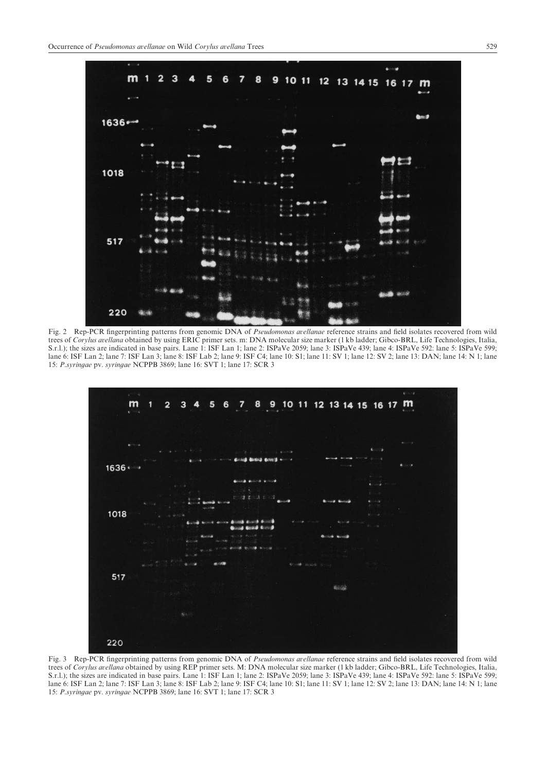

Fig. 2 Rep-PCR fingerprinting patterns from genomic DNA of Pseudomonas avellanae reference strains and field isolates recovered from wild trees of Corylus avellana obtained by using ERIC primer sets. m: DNA molecular size marker (1 kb ladder; Gibco-BRL, Life Technologies, Italia, S.r.l.); the sizes are indicated in base pairs. Lane 1: ISF Lan 1; lane 2: ISPaVe 2059; lane 3: ISPaVe 439; lane 4: ISPaVe 592: lane 5: ISPaVe 599; lane 6: ISF Lan 2; lane 7: ISF Lan 3; lane 8: ISF Lab 2; lane 9: ISF C4; lane 00: S1; lane 11: SV 1; lane 12: SV 2; lane 13: DAN; lane 14: N 1; lane 0. 15: P.syringae pv. syringae NCPPB 3869; lane 16: SVT 1; lane 17: SCR 3



Fig. 3 Rep-PCR fingerprinting patterns from genomic DNA of *Pseudomonas avellanae* reference strains and field isolates recovered from wild trees of Corylus avellana obtained by using REP primer sets. M: DNA molecular size marker (1 kb ladder; Gibco-BRL, Life Technologies, Italia, S.r.l.); the sizes are indicated in base pairs. Lane 1: ISF Lan 1; lane 2: ISPaVe 2059; lane 3: ISPaVe 439; lane 4: ISPaVe 592: lane 5: ISPaVe 599; lane 6: ISF Lan 2; lane 7: ISF Lan 3; lane 8: ISF Lab 2; lane 9: ISF C4; lane 01: S1; lane 11: SV 1; lane 12: SV 2; lane 13: DAN; lane 14: N 1; lane 15: P.syringae pv. syringae NCPPB 3869; lane 16: SVT 1; lane 17: SCR 3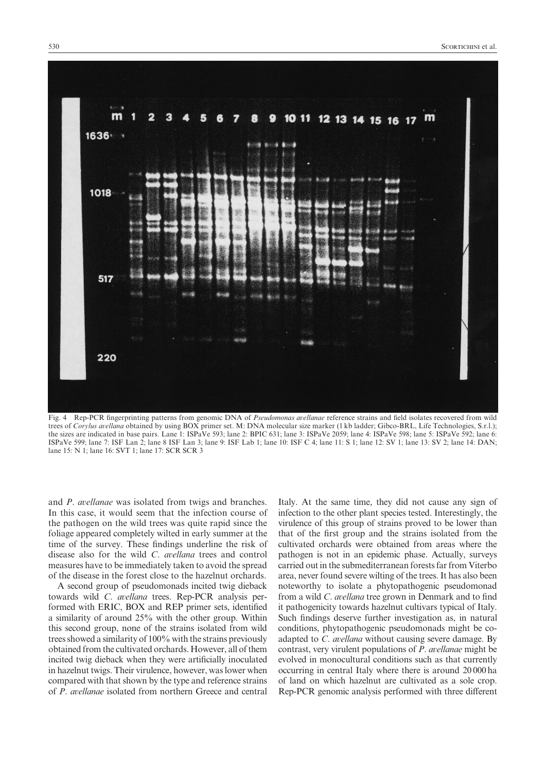

Fig. 4 Rep-PCR fingerprinting patterns from genomic DNA of Pseudomonas avellanae reference strains and field isolates recovered from wild trees of Corylus avellana obtained by using BOX primer set. M: DNA molecular size marker (1 kb ladder; Gibco-BRL, Life Technologies, S.r.l.); the sizes are indicated in base pairs. Lane 1: ISPaVe 593; lane 2: BPIC 631; lane 3: ISPaVe 2059; lane 4: ISPaVe 598; lane 5: ISPaVe 592; lane 6: ISPaVe 599; lane 7: ISF Lan 2; lane 8 ISF Lan 3; lane 9: ISF Lab 1; lane 10: ISF C 4; lane 11: S 1; lane 12: SV 1; lane 13: SV 2; lane 14: DAN; lane 15: N 1: lane 16: SVT 1: lane 17: SCR SCR 3

and  $P$ . avellanae was isolated from twigs and branches. In this case, it would seem that the infection course of the pathogen on the wild trees was quite rapid since the foliage appeared completely wilted in early summer at the time of the survey. These findings underline the risk of disease also for the wild  $C$ . avellana trees and control measures have to be immediately taken to avoid the spread of the disease in the forest close to the hazelnut orchards.

A second group of pseudomonads incited twig dieback towards wild  $C.$  avellana trees. Rep-PCR analysis performed with ERIC, BOX and REP primer sets, identified a similarity of around  $25\%$  with the other group. Within this second group, none of the strains isolated from wild trees showed a similarity of  $100\%$  with the strains previously obtained from the cultivated orchards. However, all of them incited twig dieback when they were artificially inoculated in hazelnut twigs. Their virulence, however, was lower when compared with that shown by the type and reference strains of P. avellanae isolated from northern Greece and central Italy. At the same time, they did not cause any sign of infection to the other plant species tested. Interestingly, the virulence of this group of strains proved to be lower than that of the first group and the strains isolated from the cultivated orchards were obtained from areas where the pathogen is not in an epidemic phase. Actually, surveys carried out in the submediterranean forests far from Viterbo area, never found severe wilting of the trees. It has also been noteworthy to isolate a phytopathogenic pseudomonad from a wild  $C$ . *avellana* tree grown in Denmark and to find it pathogenicity towards hazelnut cultivars typical of Italy. Such findings deserve further investigation as, in natural conditions, phytopathogenic pseudomonads might be coadapted to  $C$ . avellana without causing severe damage. By contrast, very virulent populations of  $P$ . avellanae might be evolved in monocultural conditions such as that currently occurring in central Italy where there is around 20 000 ha of land on which hazelnut are cultivated as a sole crop. Rep-PCR genomic analysis performed with three different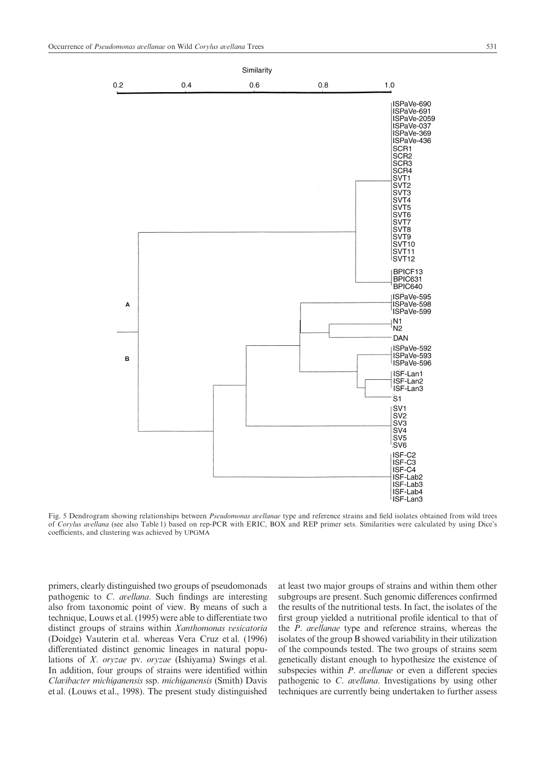

Fig. 5 Dendrogram showing relationships between Pseudomonas avellanae type and reference strains and field isolates obtained from wild trees of Corylus avellana (see also Table 1) based on rep-PCR with ERIC, BOX and REP primer sets. Similarities were calculated by using Dice's coefficients, and clustering was achieved by UPGMA

primers, clearly distinguished two groups of pseudomonads pathogenic to  $C$ . *avellana*. Such findings are interesting also from taxonomic point of view. By means of such a technique, Louws et al. (1995) were able to differentiate two distinct groups of strains within Xanthomonas vesicatoria (Doidge) Vauterin et al. whereas Vera Cruz et al. (1996) differentiated distinct genomic lineages in natural populations of  $X$ . oryzae pv. oryzae (Ishiyama) Swings et al. In addition, four groups of strains were identified within Clavibacter michiganensis ssp. michiganensis (Smith) Davis et al. (Louws et al., 1998). The present study distinguished

at least two major groups of strains and within them other subgroups are present. Such genomic differences confirmed the results of the nutritional tests. In fact, the isolates of the first group yielded a nutritional profile identical to that of the  $P$ . *avellanae* type and reference strains, whereas the isolates of the group B showed variability in their utilization of the compounds tested. The two groups of strains seem genetically distant enough to hypothesize the existence of subspecies within  $P$ . *avellanae* or even a different species pathogenic to  $C$ . *avellana*. Investigations by using other techniques are currently being undertaken to further assess